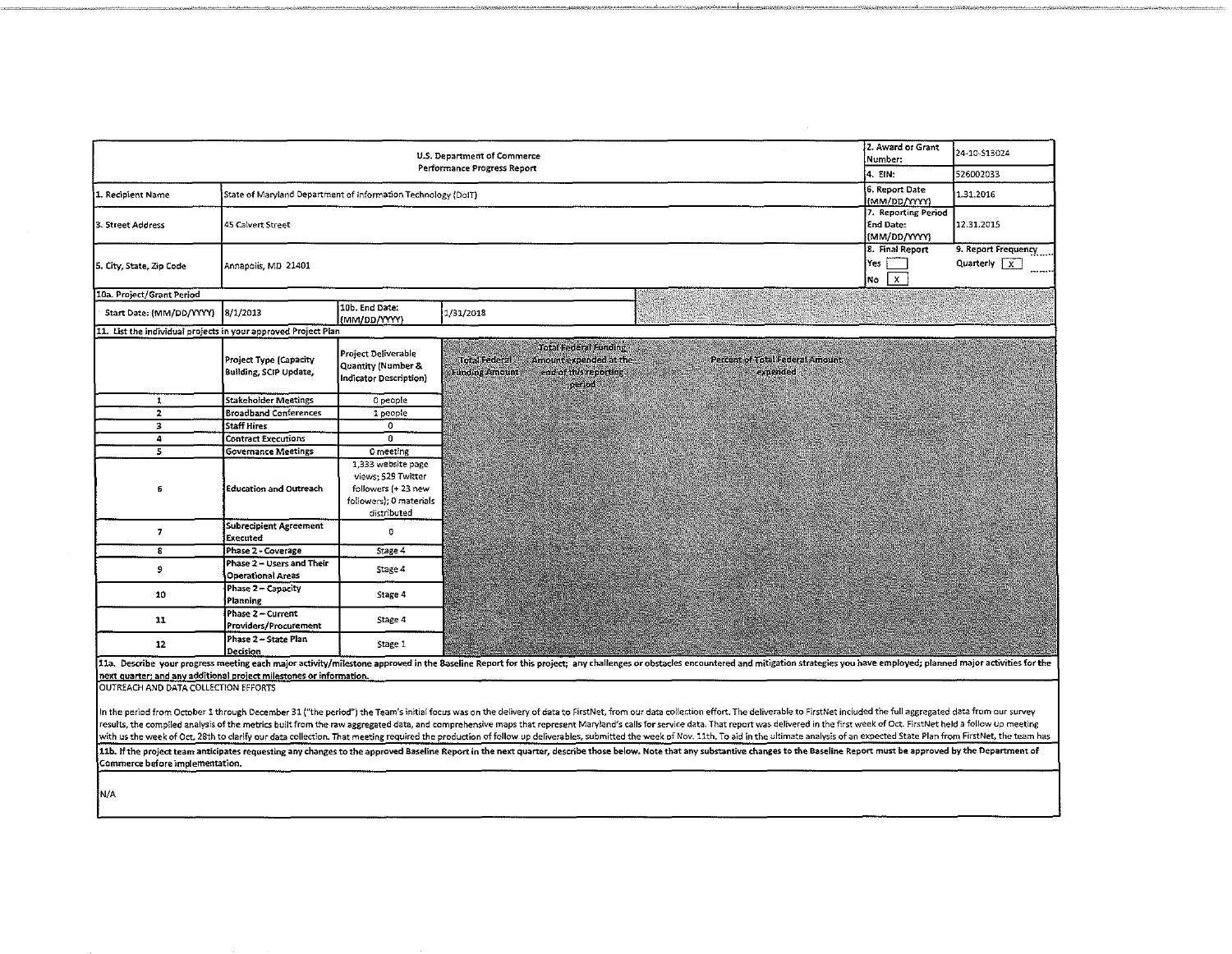| U.S. Department of Commerce<br>Performance Progress Report          |                                                               |                                                                                                          |                                               |                                                                                                                                                                                                                                                                                                                                                                                                                                                                                                                                                                                                                                                                                                   | 2. Award or Grant<br>Number:                       | 24-10-S13024                                     |                                    |
|---------------------------------------------------------------------|---------------------------------------------------------------|----------------------------------------------------------------------------------------------------------|-----------------------------------------------|---------------------------------------------------------------------------------------------------------------------------------------------------------------------------------------------------------------------------------------------------------------------------------------------------------------------------------------------------------------------------------------------------------------------------------------------------------------------------------------------------------------------------------------------------------------------------------------------------------------------------------------------------------------------------------------------------|----------------------------------------------------|--------------------------------------------------|------------------------------------|
|                                                                     |                                                               |                                                                                                          |                                               |                                                                                                                                                                                                                                                                                                                                                                                                                                                                                                                                                                                                                                                                                                   | 14. EIN:                                           | 526002033                                        |                                    |
| 1. Recipient Name                                                   | State of Maryland Department of Information Technology (DoIT) |                                                                                                          |                                               |                                                                                                                                                                                                                                                                                                                                                                                                                                                                                                                                                                                                                                                                                                   |                                                    | 6. Report Date<br>(MM/DD/YYYY)                   | 1.31.2016                          |
| 3. Street Address                                                   | 45 Calvert Street                                             |                                                                                                          |                                               |                                                                                                                                                                                                                                                                                                                                                                                                                                                                                                                                                                                                                                                                                                   |                                                    | 7. Reporting Period<br>End Date:<br>(MM/DD/YYYY) | 12.31.2015                         |
| 5. City, State, Zip Code                                            | Annapolis, MD 21401                                           |                                                                                                          |                                               |                                                                                                                                                                                                                                                                                                                                                                                                                                                                                                                                                                                                                                                                                                   |                                                    | 8. Final Report<br>Yes<br>$\mathbf{x}$<br>No     | 9. Report Frequency<br>Quarterly X |
| 10a. Project/Grant Period                                           |                                                               |                                                                                                          |                                               |                                                                                                                                                                                                                                                                                                                                                                                                                                                                                                                                                                                                                                                                                                   |                                                    |                                                  |                                    |
| Start Date: (MM/DD/YYYY)                                            | 8/1/2013                                                      | 10b. End Date:<br>(MM/DD/YYYY)                                                                           | 1/31/2018                                     |                                                                                                                                                                                                                                                                                                                                                                                                                                                                                                                                                                                                                                                                                                   |                                                    |                                                  |                                    |
| 11. List the individual projects in your approved Project Plan      |                                                               |                                                                                                          |                                               |                                                                                                                                                                                                                                                                                                                                                                                                                                                                                                                                                                                                                                                                                                   |                                                    |                                                  |                                    |
|                                                                     | Project Type (Capacity<br>Building, SCIP Update,              | Project Deliverable<br><b>Quantity (Number &amp;</b><br>Indicator Description)                           | <b>Total Federal</b><br><b>Funding Amount</b> | <b>Total Federal Funding</b><br>Amount expended at the<br>end of this reporting<br>period                                                                                                                                                                                                                                                                                                                                                                                                                                                                                                                                                                                                         | <b>Percent of Total Federal Amount</b><br>expended |                                                  |                                    |
| $\mathbf{1}$                                                        | <b>Stakeholder Meetings</b>                                   | 0 people                                                                                                 |                                               |                                                                                                                                                                                                                                                                                                                                                                                                                                                                                                                                                                                                                                                                                                   |                                                    |                                                  |                                    |
| $\mathbf{z}$                                                        | <b>Broadband Conferences</b>                                  | 1 people                                                                                                 |                                               |                                                                                                                                                                                                                                                                                                                                                                                                                                                                                                                                                                                                                                                                                                   |                                                    |                                                  |                                    |
| $\overline{\mathbf{3}}$                                             | <b>Staff Hires</b>                                            | $\circ$                                                                                                  |                                               |                                                                                                                                                                                                                                                                                                                                                                                                                                                                                                                                                                                                                                                                                                   |                                                    |                                                  |                                    |
| 4                                                                   | <b>Contract Executions</b>                                    | $\overline{0}$                                                                                           |                                               |                                                                                                                                                                                                                                                                                                                                                                                                                                                                                                                                                                                                                                                                                                   |                                                    |                                                  |                                    |
| $\overline{5}$                                                      | <b>Governance Meetings</b>                                    | 0 meeting                                                                                                |                                               |                                                                                                                                                                                                                                                                                                                                                                                                                                                                                                                                                                                                                                                                                                   |                                                    |                                                  |                                    |
| 6                                                                   | Education and Outreach                                        | 1,333 website page<br>views, 529 Twitter<br>followers (+23 new<br>followers); 0 materials<br>distributed |                                               |                                                                                                                                                                                                                                                                                                                                                                                                                                                                                                                                                                                                                                                                                                   |                                                    |                                                  |                                    |
| 7                                                                   | Subrecipient Agreement<br>Executed                            | o                                                                                                        |                                               |                                                                                                                                                                                                                                                                                                                                                                                                                                                                                                                                                                                                                                                                                                   |                                                    |                                                  |                                    |
| 8                                                                   | Phase 2 - Coverage                                            | stage 4                                                                                                  |                                               |                                                                                                                                                                                                                                                                                                                                                                                                                                                                                                                                                                                                                                                                                                   |                                                    |                                                  |                                    |
| 9                                                                   | Phase 2 - Users and Their<br><b>Operational Areas</b>         | Stage 4                                                                                                  |                                               |                                                                                                                                                                                                                                                                                                                                                                                                                                                                                                                                                                                                                                                                                                   |                                                    |                                                  |                                    |
| 10                                                                  | Phase 2 - Capacity<br>Planning                                | Stage 4                                                                                                  |                                               |                                                                                                                                                                                                                                                                                                                                                                                                                                                                                                                                                                                                                                                                                                   |                                                    |                                                  |                                    |
| 11                                                                  | Phase 2 - Current<br>Providers/Procurement                    | Stage 4                                                                                                  |                                               |                                                                                                                                                                                                                                                                                                                                                                                                                                                                                                                                                                                                                                                                                                   |                                                    |                                                  |                                    |
| 12                                                                  | Phase 2 - State Plan<br>Decision                              | Stage 1                                                                                                  |                                               |                                                                                                                                                                                                                                                                                                                                                                                                                                                                                                                                                                                                                                                                                                   |                                                    |                                                  |                                    |
|                                                                     |                                                               |                                                                                                          |                                               | 11a. Describe your progress meeting each major activity/milestone approved in the Baseline Report for this project; any challenges or obstacles encountered and mitigation strategies you have employed; planned major activit                                                                                                                                                                                                                                                                                                                                                                                                                                                                    |                                                    |                                                  |                                    |
| next quarter; and any additional project milestones or information. |                                                               |                                                                                                          |                                               |                                                                                                                                                                                                                                                                                                                                                                                                                                                                                                                                                                                                                                                                                                   |                                                    |                                                  |                                    |
| OUTREACH AND DATA COLLECTION EFFORTS                                |                                                               |                                                                                                          |                                               |                                                                                                                                                                                                                                                                                                                                                                                                                                                                                                                                                                                                                                                                                                   |                                                    |                                                  |                                    |
|                                                                     |                                                               |                                                                                                          |                                               | In the period from October 1 through December 31 ("the period") the Team's initial focus was on the delivery of data to FirstNet, from our data collection effort. The deliverable to FirstNet included the full aggregated da<br>results, the compiled analysis of the metrics built from the raw aggregated data, and comprehensive maps that represent Maryland's calls for service data. That report was delivered in the first week of Oct. FirstNet held a<br>with us the week of Oct. 28th to clarify our data collection. That meeting required the production of follow up deliverables, submitted the week of Nov. 11th. To aid in the ultimate analysis of an expected State Plan from |                                                    |                                                  |                                    |
|                                                                     |                                                               |                                                                                                          |                                               | 11b. If the project team anticipates requesting any changes to the approved Baseline Report in the next quarter, describe those below. Note that any substantive changes to the Baseline Report must be approved by the Depart                                                                                                                                                                                                                                                                                                                                                                                                                                                                    |                                                    |                                                  |                                    |
| Commerce before implementation.                                     |                                                               |                                                                                                          |                                               |                                                                                                                                                                                                                                                                                                                                                                                                                                                                                                                                                                                                                                                                                                   |                                                    |                                                  |                                    |

 $\sim$ 

 $N/A$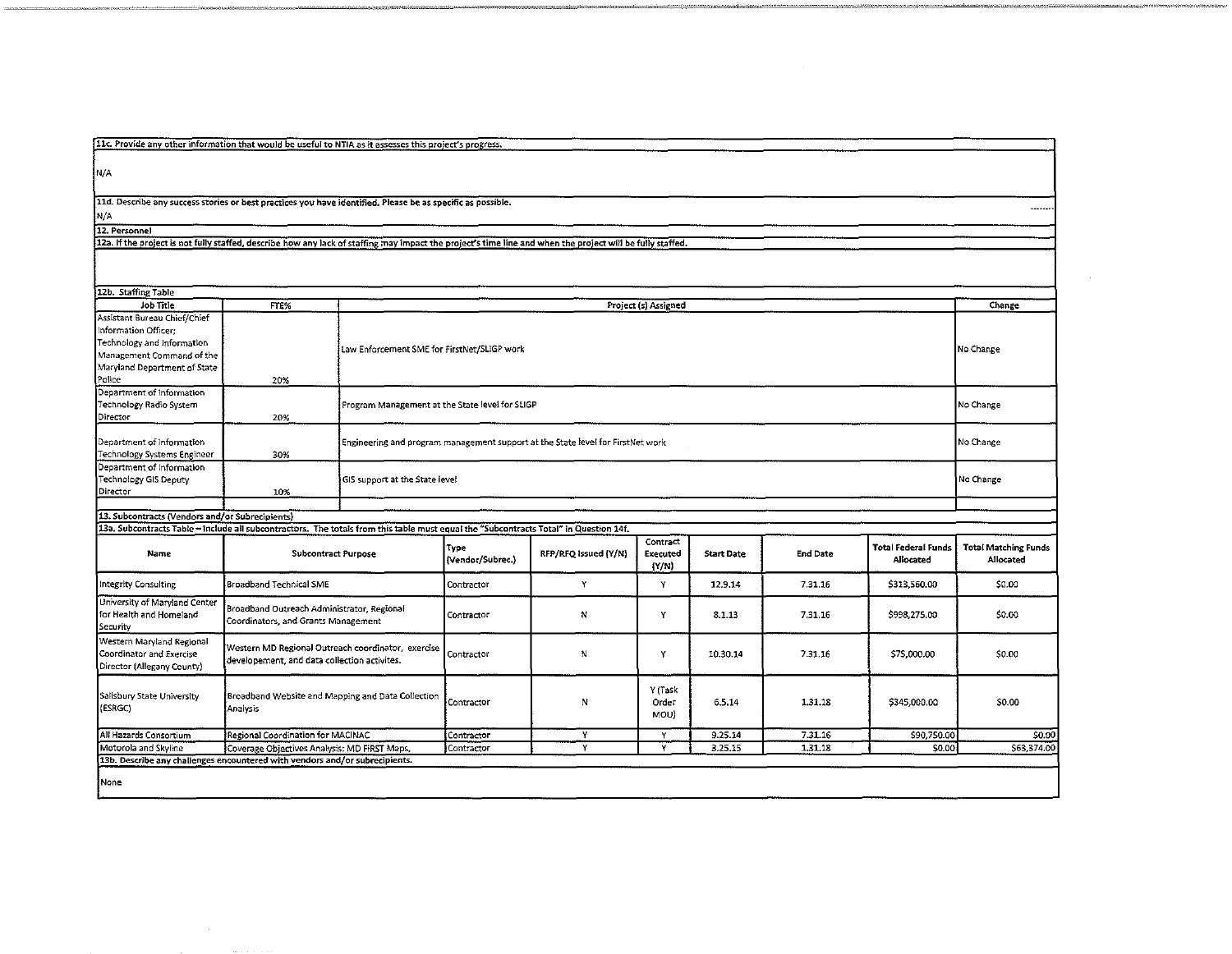|  |  | 11c. Provide any other information that would be useful to NTIA as it assesses this project's progress. |  |
|--|--|---------------------------------------------------------------------------------------------------------|--|
|  |  |                                                                                                         |  |

N/A

11d. Describe any success stories or best practices you have identified. Please be as specific as possible.

N/A

 $\sim 10^7$ 

12. Personnel<br>12. Personnel<br>12a. If the project is not fully staffed, describe how any lack of staffing may impact the project's time line and when the project will be fully staffed.

| 12b. Staffing Table                                                                                                                                       |                                                                                                                                                                     |                                                                                 |                          |                      |                                   |                   |                 |                                                |                                          |
|-----------------------------------------------------------------------------------------------------------------------------------------------------------|---------------------------------------------------------------------------------------------------------------------------------------------------------------------|---------------------------------------------------------------------------------|--------------------------|----------------------|-----------------------------------|-------------------|-----------------|------------------------------------------------|------------------------------------------|
| Job Title                                                                                                                                                 | FTE%                                                                                                                                                                | Project (s) Assigned                                                            |                          |                      |                                   |                   |                 |                                                | Change                                   |
| Assistant Bureau Chief/Chief<br>Information Officer:<br>Technology and Information<br>Management Command of the<br>Maryland Department of State<br>Police | 20%                                                                                                                                                                 | Law Enforcement SME for FirstNet/SLIGP work                                     |                          |                      |                                   |                   |                 |                                                | No Change                                |
| Department of Information<br>Technology Radio System<br>Director                                                                                          | 20%                                                                                                                                                                 | Program Management at the State level for SLIGP                                 |                          |                      |                                   |                   |                 |                                                | No Change                                |
| Department of Information<br>Technology Systems Engineer                                                                                                  | 30%                                                                                                                                                                 | Engineering and program management support at the State level for FirstNet work |                          |                      |                                   |                   |                 | No Change                                      |                                          |
| Department of Information<br>Technology GIS Deputy<br>Director                                                                                            | 10%                                                                                                                                                                 | GIS support at the State level                                                  |                          |                      |                                   |                   |                 |                                                | No Change                                |
|                                                                                                                                                           |                                                                                                                                                                     |                                                                                 |                          |                      |                                   |                   |                 |                                                |                                          |
| [13. Subcontracts (Vendors and/or Subrecipients)                                                                                                          |                                                                                                                                                                     |                                                                                 |                          |                      |                                   |                   |                 |                                                |                                          |
| Name                                                                                                                                                      | 13a. Subcontracts Table - Include all subcontractors. The totals from this table must equal the "Subcontracts Total" in Question 14f.<br><b>Subcontract Purpose</b> |                                                                                 | Type<br>(Vendor/Subrec.) | RFP/RFQ Issued (Y/N) | Contract<br>Executed<br>$\{Y/N\}$ | <b>Start Date</b> | <b>End Date</b> | <b>Total Federal Funds</b><br><b>Allocated</b> | <b>Total Matching Funds</b><br>Allocated |
| Integrity Consulting                                                                                                                                      | <b>Broadband Technical SME</b>                                                                                                                                      |                                                                                 | Contractor               | Y                    | Y                                 | 12.9.14           | 7.31.16         | \$313,560.00                                   | \$0.00                                   |
| University of Maryland Center<br>for Health and Homeland<br>Security                                                                                      | Broadband Outreach Administrator, Regional<br>Coordinators, and Grants Management                                                                                   |                                                                                 | Contractor               | N                    | Y                                 | 8.1.13            | 7.31.16         | \$998.275.00                                   | \$0.00                                   |
| Western Maryland Regional<br>Coordinator and Exercise<br>Director (Allegany County)                                                                       | Western MD Regional Outreach coordinator, exercise<br>developement, and data collection activites.                                                                  |                                                                                 | Contractor               | N                    | Y                                 | 10.30.14          | 7.31.16         | \$75,000.00                                    | \$0.00                                   |
| Salisbury State University<br>(ESRGC)                                                                                                                     | Broadband Website and Mapping and Data Collection<br>Analysis                                                                                                       |                                                                                 | Contractor               | Ν                    | Y (Task<br>Order<br>MOU)          | 6.5.14            | 1.31.18         | \$345,000.00                                   | \$0.00                                   |
| All Hazards Consortium                                                                                                                                    | Regional Coordination for MACINAC                                                                                                                                   |                                                                                 | Contractor               | Y                    | Y                                 | 9.25.14           | 7.31.16         | \$90,750.00                                    | \$0.00                                   |
| Motorola and Skyline                                                                                                                                      | Coverage Objectives Analysis: MD FIRST Maps,                                                                                                                        |                                                                                 | Contractor               | Y                    | Y                                 | 3.25.15           | 1,31.18         | \$0.00                                         | \$63,374.00                              |
| [13b. Describe any challenges encountered with vendors and/or subrecipients.                                                                              |                                                                                                                                                                     |                                                                                 |                          |                      |                                   |                   |                 |                                                |                                          |
| None                                                                                                                                                      |                                                                                                                                                                     |                                                                                 |                          |                      |                                   |                   |                 |                                                |                                          |

 $\cdots$